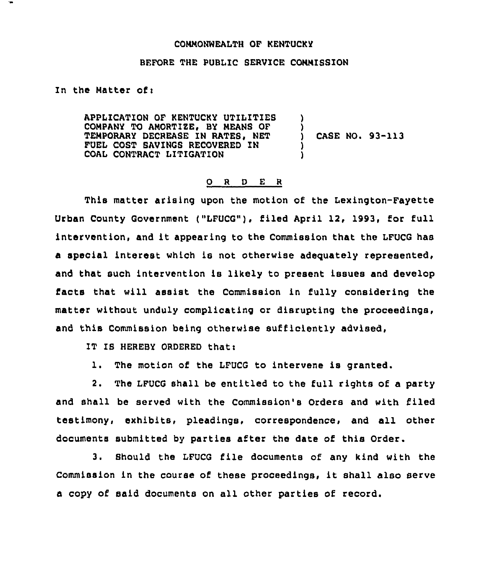## COMMONWEALTH OF KENTUCKY

## BEFORE THE PUBLIC SERVICE COMMISSION

In the Matter of:

APPLICATION OF KENTUCKY UTILITIES COMPANY TO AMORTIZE, BY MEANS OF TEMPORARY DECREASE IN RATES, NET FUEL COST SAVINGS RECOVERED IN COAL CONTRACT LITIGATION ) ) ) CASE NO. 93-113 ) )

## 0 <sup>R</sup> <sup>D</sup> E <sup>R</sup>

This matter arising upon the motion of the Lexington-Fayette Urban County Government ("LFUCG"), filed April 12, 1993, for full intervention, and it appearing to the Commission that the LFUCG has a special interest which is not otherwise adequately represented, and that such intervention is likely to present issues and develop facts that will assist the Commission in fully considering the matter without unduly complicating or disrupting the proceedings, and this Commission being otherwise sufficiently advised,

IT IS HEREBY ORDERED thati

1. The motion of the LFUCG to intervene is granted.

2. The LFUCG shall be entitled to the full rights of a party and shall be served with the Commission's Orders and with filed testimony, exhibits, pleadings, correspondence, and all other documents submitted by parties after the date of this Order.

3. Should the LFUCG file documents of any kind with the Commission in the course of these proceedings, it shall also serve a copy of said documents on all other parties of record.